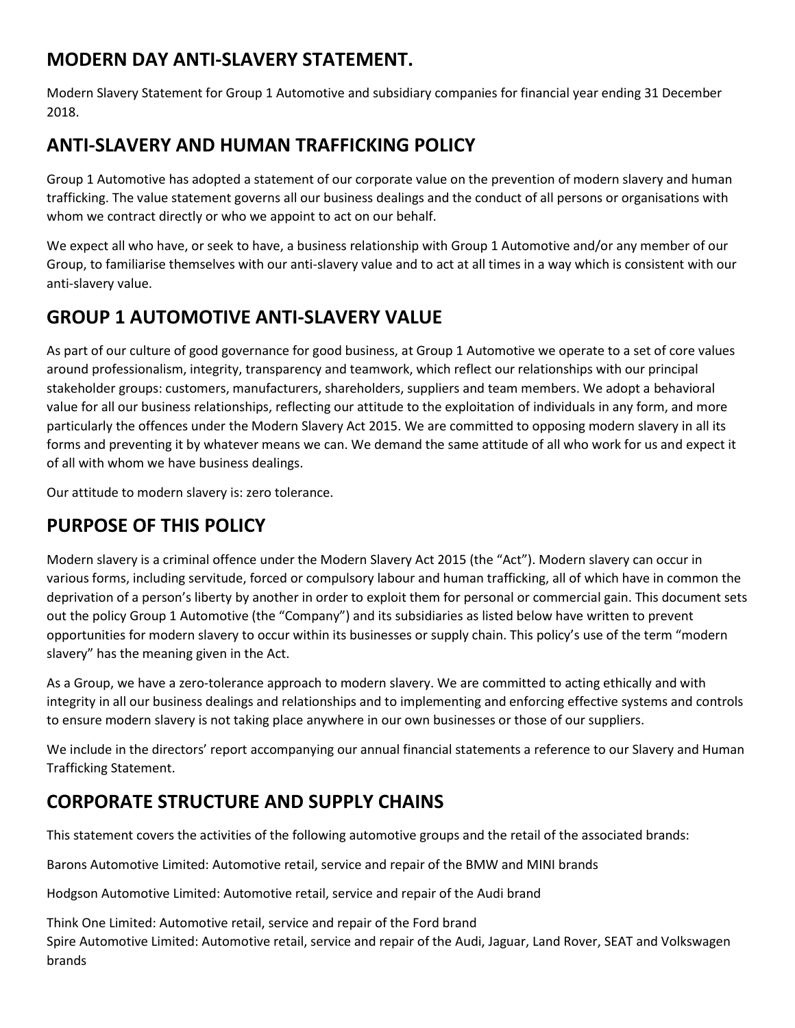## **MODERN DAY ANTI-SLAVERY STATEMENT.**

Modern Slavery Statement for Group 1 Automotive and subsidiary companies for financial year ending 31 December 2018.

## **ANTI-SLAVERY AND HUMAN TRAFFICKING POLICY**

Group 1 Automotive has adopted a statement of our corporate value on the prevention of modern slavery and human trafficking. The value statement governs all our business dealings and the conduct of all persons or organisations with whom we contract directly or who we appoint to act on our behalf.

We expect all who have, or seek to have, a business relationship with Group 1 Automotive and/or any member of our Group, to familiarise themselves with our anti-slavery value and to act at all times in a way which is consistent with our anti-slavery value.

# **GROUP 1 AUTOMOTIVE ANTI-SLAVERY VALUE**

As part of our culture of good governance for good business, at Group 1 Automotive we operate to a set of core values around professionalism, integrity, transparency and teamwork, which reflect our relationships with our principal stakeholder groups: customers, manufacturers, shareholders, suppliers and team members. We adopt a behavioral value for all our business relationships, reflecting our attitude to the exploitation of individuals in any form, and more particularly the offences under the Modern Slavery Act 2015. We are committed to opposing modern slavery in all its forms and preventing it by whatever means we can. We demand the same attitude of all who work for us and expect it of all with whom we have business dealings.

Our attitude to modern slavery is: zero tolerance.

# **PURPOSE OF THIS POLICY**

Modern slavery is a criminal offence under the Modern Slavery Act 2015 (the "Act"). Modern slavery can occur in various forms, including servitude, forced or compulsory labour and human trafficking, all of which have in common the deprivation of a person's liberty by another in order to exploit them for personal or commercial gain. This document sets out the policy Group 1 Automotive (the "Company") and its subsidiaries as listed below have written to prevent opportunities for modern slavery to occur within its businesses or supply chain. This policy's use of the term "modern slavery" has the meaning given in the Act.

As a Group, we have a zero-tolerance approach to modern slavery. We are committed to acting ethically and with integrity in all our business dealings and relationships and to implementing and enforcing effective systems and controls to ensure modern slavery is not taking place anywhere in our own businesses or those of our suppliers.

We include in the directors' report accompanying our annual financial statements a reference to our Slavery and Human Trafficking Statement.

# **CORPORATE STRUCTURE AND SUPPLY CHAINS**

This statement covers the activities of the following automotive groups and the retail of the associated brands:

Barons Automotive Limited: Automotive retail, service and repair of the BMW and MINI brands

Hodgson Automotive Limited: Automotive retail, service and repair of the Audi brand

Think One Limited: Automotive retail, service and repair of the Ford brand Spire Automotive Limited: Automotive retail, service and repair of the Audi, Jaguar, Land Rover, SEAT and Volkswagen **brands**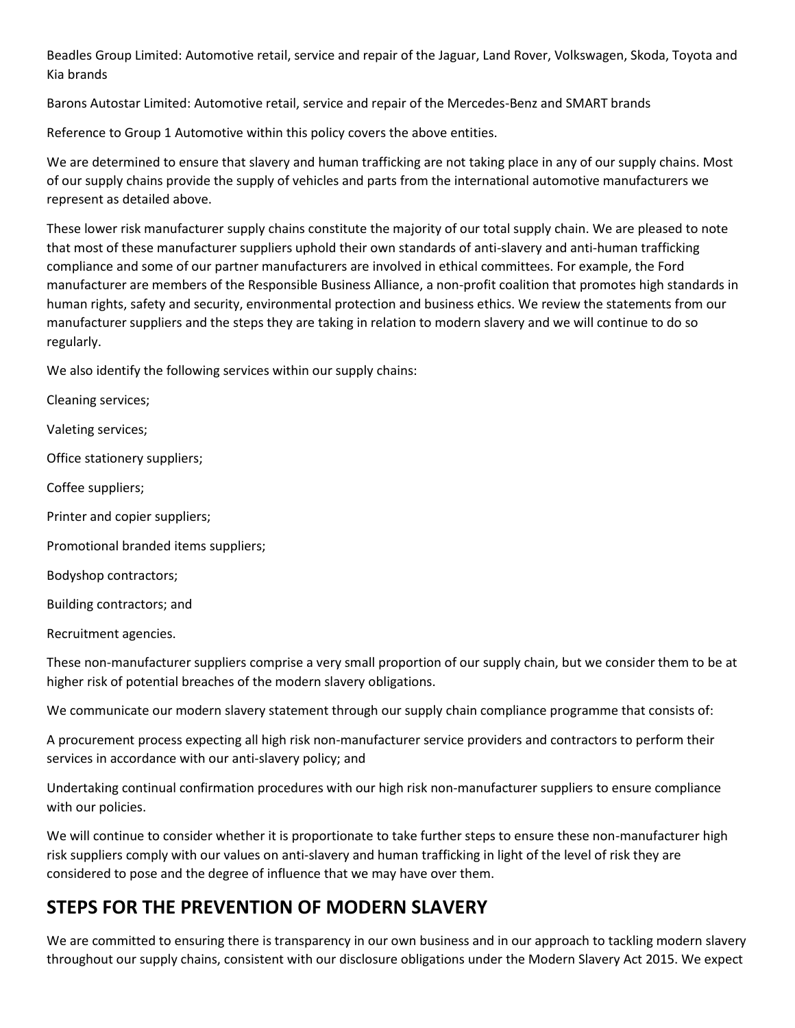Beadles Group Limited: Automotive retail, service and repair of the Jaguar, Land Rover, Volkswagen, Skoda, Toyota and Kia brands

Barons Autostar Limited: Automotive retail, service and repair of the Mercedes-Benz and SMART brands

Reference to Group 1 Automotive within this policy covers the above entities.

We are determined to ensure that slavery and human trafficking are not taking place in any of our supply chains. Most of our supply chains provide the supply of vehicles and parts from the international automotive manufacturers we represent as detailed above.

These lower risk manufacturer supply chains constitute the majority of our total supply chain. We are pleased to note that most of these manufacturer suppliers uphold their own standards of anti-slavery and anti-human trafficking compliance and some of our partner manufacturers are involved in ethical committees. For example, the Ford manufacturer are members of the Responsible Business Alliance, a non-profit coalition that promotes high standards in human rights, safety and security, environmental protection and business ethics. We review the statements from our manufacturer suppliers and the steps they are taking in relation to modern slavery and we will continue to do so regularly.

We also identify the following services within our supply chains:

Cleaning services; Valeting services; Office stationery suppliers; Coffee suppliers; Printer and copier suppliers; Promotional branded items suppliers; Bodyshop contractors; Building contractors; and Recruitment agencies.

These non-manufacturer suppliers comprise a very small proportion of our supply chain, but we consider them to be at higher risk of potential breaches of the modern slavery obligations.

We communicate our modern slavery statement through our supply chain compliance programme that consists of:

A procurement process expecting all high risk non-manufacturer service providers and contractors to perform their services in accordance with our anti-slavery policy; and

Undertaking continual confirmation procedures with our high risk non-manufacturer suppliers to ensure compliance with our policies.

We will continue to consider whether it is proportionate to take further steps to ensure these non-manufacturer high risk suppliers comply with our values on anti-slavery and human trafficking in light of the level of risk they are considered to pose and the degree of influence that we may have over them.

# **STEPS FOR THE PREVENTION OF MODERN SLAVERY**

We are committed to ensuring there is transparency in our own business and in our approach to tackling modern slavery throughout our supply chains, consistent with our disclosure obligations under the Modern Slavery Act 2015. We expect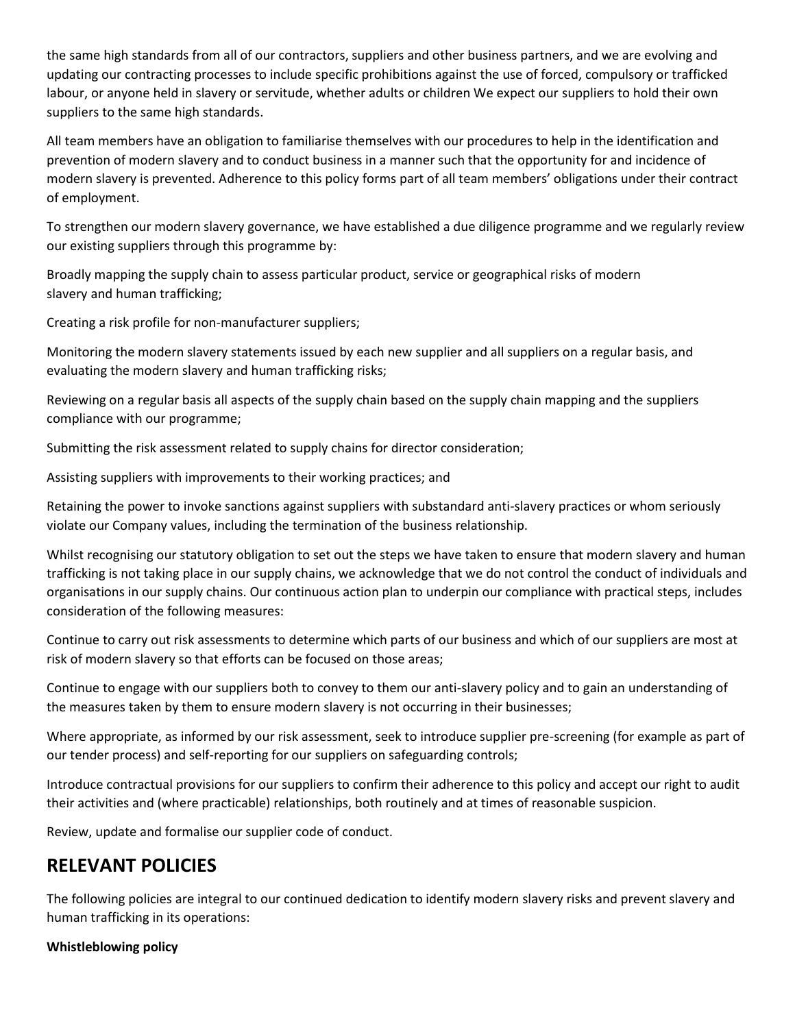the same high standards from all of our contractors, suppliers and other business partners, and we are evolving and updating our contracting processes to include specific prohibitions against the use of forced, compulsory or trafficked labour, or anyone held in slavery or servitude, whether adults or children We expect our suppliers to hold their own suppliers to the same high standards.

All team members have an obligation to familiarise themselves with our procedures to help in the identification and prevention of modern slavery and to conduct business in a manner such that the opportunity for and incidence of modern slavery is prevented. Adherence to this policy forms part of all team members' obligations under their contract of employment.

To strengthen our modern slavery governance, we have established a due diligence programme and we regularly review our existing suppliers through this programme by:

Broadly mapping the supply chain to assess particular product, service or geographical risks of modern slavery and human trafficking;

Creating a risk profile for non-manufacturer suppliers;

Monitoring the modern slavery statements issued by each new supplier and all suppliers on a regular basis, and evaluating the modern slavery and human trafficking risks;

Reviewing on a regular basis all aspects of the supply chain based on the supply chain mapping and the suppliers compliance with our programme;

Submitting the risk assessment related to supply chains for director consideration;

Assisting suppliers with improvements to their working practices; and

Retaining the power to invoke sanctions against suppliers with substandard anti-slavery practices or whom seriously violate our Company values, including the termination of the business relationship.

Whilst recognising our statutory obligation to set out the steps we have taken to ensure that modern slavery and human trafficking is not taking place in our supply chains, we acknowledge that we do not control the conduct of individuals and organisations in our supply chains. Our continuous action plan to underpin our compliance with practical steps, includes consideration of the following measures:

Continue to carry out risk assessments to determine which parts of our business and which of our suppliers are most at risk of modern slavery so that efforts can be focused on those areas;

Continue to engage with our suppliers both to convey to them our anti-slavery policy and to gain an understanding of the measures taken by them to ensure modern slavery is not occurring in their businesses;

Where appropriate, as informed by our risk assessment, seek to introduce supplier pre-screening (for example as part of our tender process) and self-reporting for our suppliers on safeguarding controls;

Introduce contractual provisions for our suppliers to confirm their adherence to this policy and accept our right to audit their activities and (where practicable) relationships, both routinely and at times of reasonable suspicion.

Review, update and formalise our supplier code of conduct.

## **RELEVANT POLICIES**

The following policies are integral to our continued dedication to identify modern slavery risks and prevent slavery and human trafficking in its operations:

#### **Whistleblowing policy**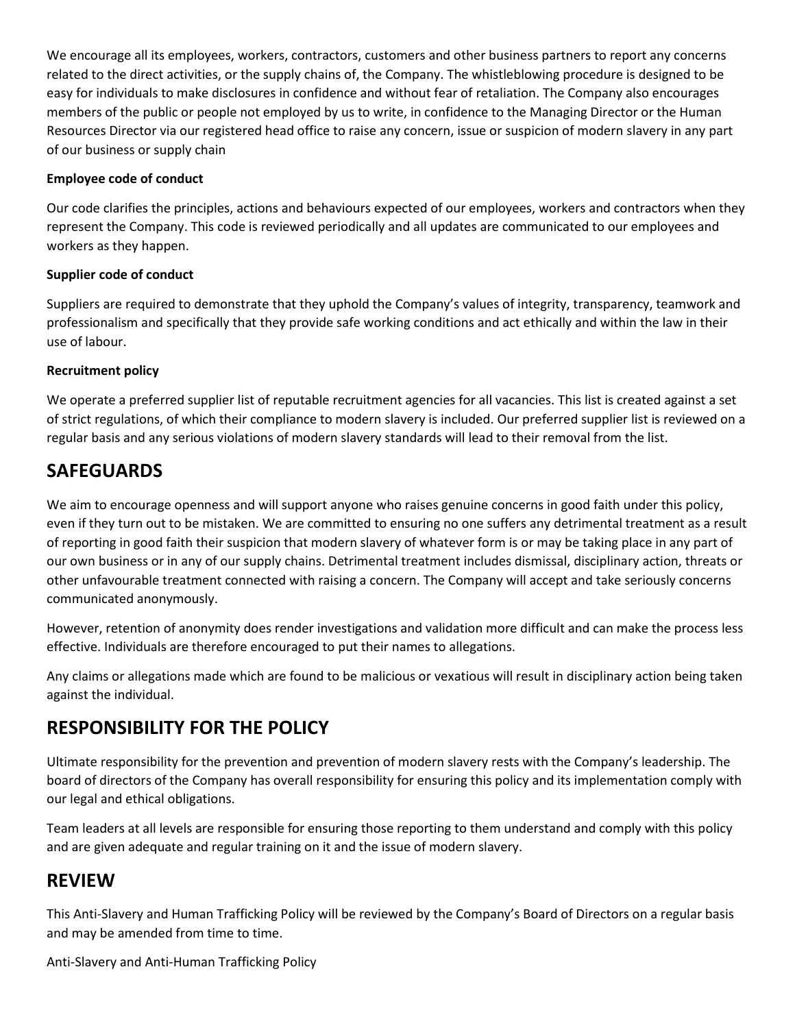We encourage all its employees, workers, contractors, customers and other business partners to report any concerns related to the direct activities, or the supply chains of, the Company. The whistleblowing procedure is designed to be easy for individuals to make disclosures in confidence and without fear of retaliation. The Company also encourages members of the public or people not employed by us to write, in confidence to the Managing Director or the Human Resources Director via our registered head office to raise any concern, issue or suspicion of modern slavery in any part of our business or supply chain

### **Employee code of conduct**

Our code clarifies the principles, actions and behaviours expected of our employees, workers and contractors when they represent the Company. This code is reviewed periodically and all updates are communicated to our employees and workers as they happen.

### **Supplier code of conduct**

Suppliers are required to demonstrate that they uphold the Company's values of integrity, transparency, teamwork and professionalism and specifically that they provide safe working conditions and act ethically and within the law in their use of labour.

### **Recruitment policy**

We operate a preferred supplier list of reputable recruitment agencies for all vacancies. This list is created against a set of strict regulations, of which their compliance to modern slavery is included. Our preferred supplier list is reviewed on a regular basis and any serious violations of modern slavery standards will lead to their removal from the list.

## **SAFEGUARDS**

We aim to encourage openness and will support anyone who raises genuine concerns in good faith under this policy, even if they turn out to be mistaken. We are committed to ensuring no one suffers any detrimental treatment as a result of reporting in good faith their suspicion that modern slavery of whatever form is or may be taking place in any part of our own business or in any of our supply chains. Detrimental treatment includes dismissal, disciplinary action, threats or other unfavourable treatment connected with raising a concern. The Company will accept and take seriously concerns communicated anonymously.

However, retention of anonymity does render investigations and validation more difficult and can make the process less effective. Individuals are therefore encouraged to put their names to allegations.

Any claims or allegations made which are found to be malicious or vexatious will result in disciplinary action being taken against the individual.

### **RESPONSIBILITY FOR THE POLICY**

Ultimate responsibility for the prevention and prevention of modern slavery rests with the Company's leadership. The board of directors of the Company has overall responsibility for ensuring this policy and its implementation comply with our legal and ethical obligations.

Team leaders at all levels are responsible for ensuring those reporting to them understand and comply with this policy and are given adequate and regular training on it and the issue of modern slavery.

### **REVIEW**

This Anti-Slavery and Human Trafficking Policy will be reviewed by the Company's Board of Directors on a regular basis and may be amended from time to time.

Anti-Slavery and Anti-Human Trafficking Policy